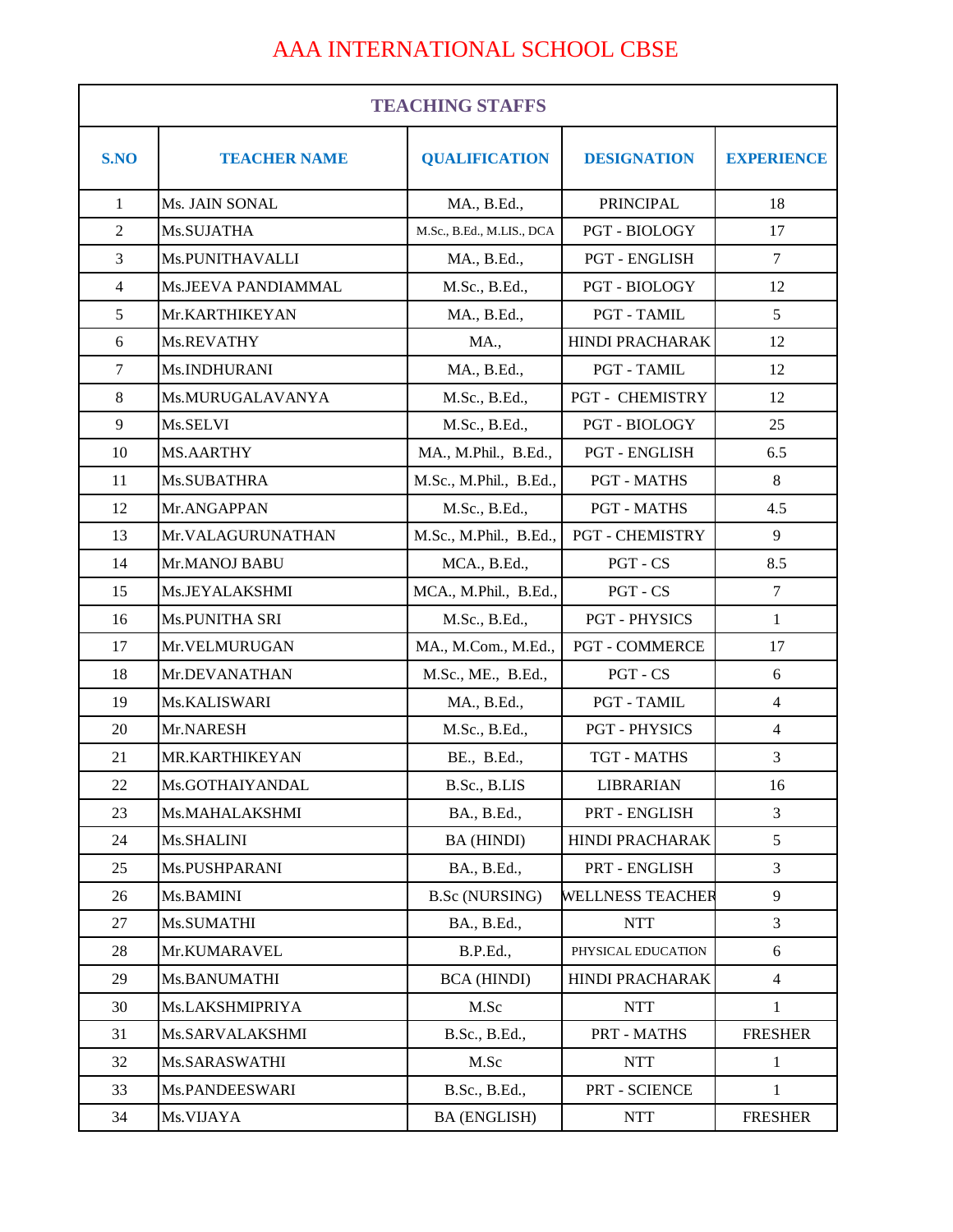## AAA INTERNATIONAL SCHOOL CBSE

| <b>TEACHING STAFFS</b> |                            |                           |                         |                   |
|------------------------|----------------------------|---------------------------|-------------------------|-------------------|
| S.NO                   | <b>TEACHER NAME</b>        | <b>QUALIFICATION</b>      | <b>DESIGNATION</b>      | <b>EXPERIENCE</b> |
| $\mathbf{1}$           | Ms. JAIN SONAL             | MA., B.Ed.,               | PRINCIPAL               | 18                |
| $\overline{2}$         | Ms.SUJATHA                 | M.Sc., B.Ed., M.LIS., DCA | PGT - BIOLOGY           | 17                |
| 3                      | Ms.PUNITHAVALLI            | MA., B.Ed.,               | <b>PGT - ENGLISH</b>    | $\tau$            |
| $\overline{4}$         | <b>Ms.JEEVA PANDIAMMAL</b> | M.Sc., B.Ed.,             | <b>PGT - BIOLOGY</b>    | 12                |
| 5                      | Mr.KARTHIKEYAN             | MA., B.Ed.,               | <b>PGT - TAMIL</b>      | 5                 |
| 6                      | Ms.REVATHY                 | <b>MA.,</b>               | <b>HINDI PRACHARAK</b>  | 12                |
| $\tau$                 | Ms.INDHURANI               | MA., B.Ed.,               | <b>PGT - TAMIL</b>      | 12                |
| 8                      | Ms.MURUGALAVANYA           | M.Sc., B.Ed.,             | <b>PGT - CHEMISTRY</b>  | 12                |
| 9                      | Ms.SELVI                   | M.Sc., B.Ed.,             | PGT - BIOLOGY           | 25                |
| 10                     | <b>MS.AARTHY</b>           | MA., M.Phil., B.Ed.,      | PGT - ENGLISH           | 6.5               |
| 11                     | Ms.SUBATHRA                | M.Sc., M.Phil., B.Ed.,    | <b>PGT - MATHS</b>      | $\,8\,$           |
| 12                     | Mr.ANGAPPAN                | M.Sc., B.Ed.,             | <b>PGT - MATHS</b>      | 4.5               |
| 13                     | Mr.VALAGURUNATHAN          | M.Sc., M.Phil., B.Ed.,    | <b>PGT - CHEMISTRY</b>  | 9                 |
| 14                     | Mr.MANOJ BABU              | MCA., B.Ed.,              | PGT - CS                | 8.5               |
| 15                     | Ms.JEYALAKSHMI             | MCA., M.Phil., B.Ed.,     | PGT - CS                | $\tau$            |
| 16                     | Ms.PUNITHA SRI             | M.Sc., B.Ed.,             | <b>PGT - PHYSICS</b>    | $\mathbf{1}$      |
| 17                     | Mr.VELMURUGAN              | MA., M.Com., M.Ed.,       | <b>PGT - COMMERCE</b>   | 17                |
| 18                     | Mr.DEVANATHAN              | M.Sc., ME., B.Ed.,        | PGT - CS                | 6                 |
| 19                     | Ms.KALISWARI               | MA., B.Ed.,               | PGT - TAMIL             | $\overline{4}$    |
| 20                     | Mr.NARESH                  | M.Sc., B.Ed.,             | <b>PGT - PHYSICS</b>    | $\overline{4}$    |
| 21                     | MR.KARTHIKEYAN             | BE., B.Ed.,               | <b>TGT - MATHS</b>      | 3                 |
| 22                     | Ms.GOTHAIYANDAL            | B.Sc., B.LIS              | <b>LIBRARIAN</b>        | 16                |
| 23                     | Ms.MAHALAKSHMI             | BA., B.Ed.,               | PRT - ENGLISH           | 3                 |
| 24                     | Ms.SHALINI                 | BA (HINDI)                | HINDI PRACHARAK         | 5                 |
| 25                     | Ms.PUSHPARANI              | BA., B.Ed.,               | PRT - ENGLISH           | 3                 |
| 26                     | Ms.BAMINI                  | <b>B.Sc (NURSING)</b>     | <b>WELLNESS TEACHER</b> | 9                 |
| 27                     | Ms.SUMATHI                 | BA., B.Ed.,               | <b>NTT</b>              | 3                 |
| 28                     | Mr.KUMARAVEL               | <b>B.P.Ed.,</b>           | PHYSICAL EDUCATION      | 6                 |
| 29                     | Ms.BANUMATHI               | <b>BCA</b> (HINDI)        | HINDI PRACHARAK         | $\overline{4}$    |
| 30                     | Ms.LAKSHMIPRIYA            | M.Sc                      | <b>NTT</b>              | $\mathbf{1}$      |
| 31                     | Ms.SARVALAKSHMI            | B.Sc., B.Ed.,             | PRT - MATHS             | <b>FRESHER</b>    |
| 32                     | Ms.SARASWATHI              | M.Sc                      | <b>NTT</b>              | $\mathbf{1}$      |
| 33                     | Ms.PANDEESWARI             | B.Sc., B.Ed.,             | PRT - SCIENCE           | 1                 |
| 34                     | Ms.VIJAYA                  | <b>BA (ENGLISH)</b>       | <b>NTT</b>              | <b>FRESHER</b>    |